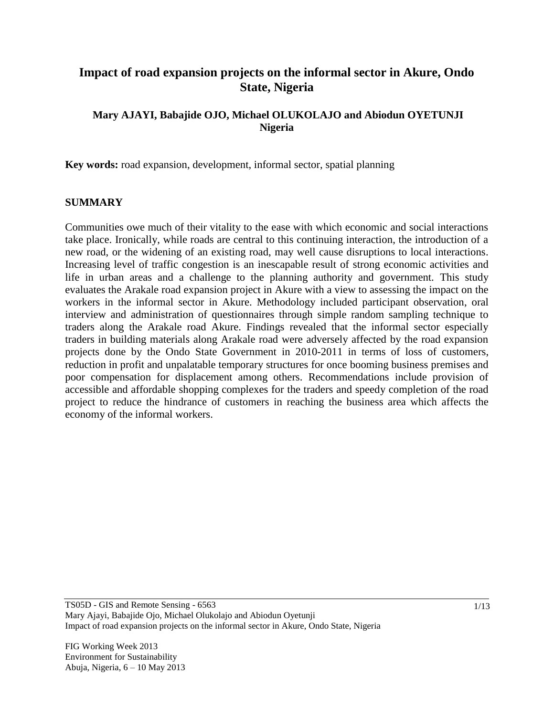# **Impact of road expansion projects on the informal sector in Akure, Ondo State, Nigeria**

## **Mary AJAYI, Babajide OJO, Michael OLUKOLAJO and Abiodun OYETUNJI Nigeria**

**Key words:** road expansion, development, informal sector, spatial planning

#### **SUMMARY**

Communities owe much of their vitality to the ease with which economic and social interactions take place. Ironically, while roads are central to this continuing interaction, the introduction of a new road, or the widening of an existing road, may well cause disruptions to local interactions. Increasing level of traffic congestion is an inescapable result of strong economic activities and life in urban areas and a challenge to the planning authority and government. This study evaluates the Arakale road expansion project in Akure with a view to assessing the impact on the workers in the informal sector in Akure. Methodology included participant observation, oral interview and administration of questionnaires through simple random sampling technique to traders along the Arakale road Akure. Findings revealed that the informal sector especially traders in building materials along Arakale road were adversely affected by the road expansion projects done by the Ondo State Government in 2010-2011 in terms of loss of customers, reduction in profit and unpalatable temporary structures for once booming business premises and poor compensation for displacement among others. Recommendations include provision of accessible and affordable shopping complexes for the traders and speedy completion of the road project to reduce the hindrance of customers in reaching the business area which affects the economy of the informal workers.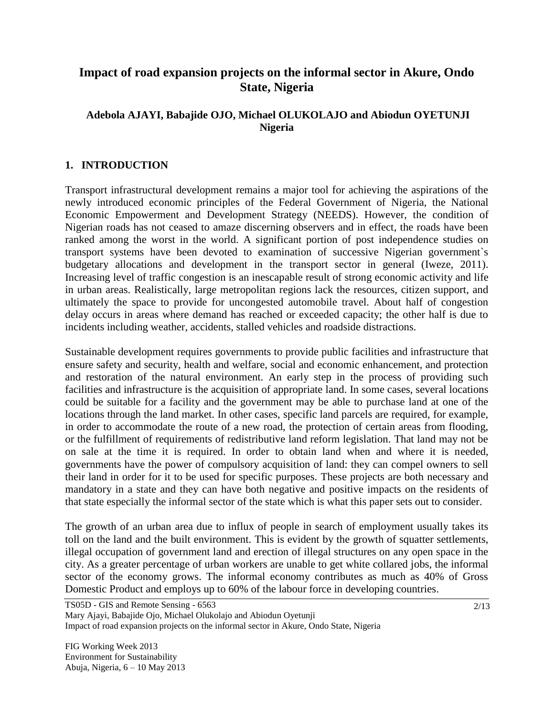## **Impact of road expansion projects on the informal sector in Akure, Ondo State, Nigeria**

### **Adebola AJAYI, Babajide OJO, Michael OLUKOLAJO and Abiodun OYETUNJI Nigeria**

#### **1. INTRODUCTION**

Transport infrastructural development remains a major tool for achieving the aspirations of the newly introduced economic principles of the Federal Government of Nigeria, the National Economic Empowerment and Development Strategy (NEEDS). However, the condition of Nigerian roads has not ceased to amaze discerning observers and in effect, the roads have been ranked among the worst in the world. A significant portion of post independence studies on transport systems have been devoted to examination of successive Nigerian government`s budgetary allocations and development in the transport sector in general (Iweze, 2011). Increasing level of traffic congestion is an inescapable result of strong economic activity and life in urban areas. Realistically, large metropolitan regions lack the resources, citizen support, and ultimately the space to provide for uncongested automobile travel. About half of congestion delay occurs in areas where demand has reached or exceeded capacity; the other half is due to incidents including weather, accidents, stalled vehicles and roadside distractions.

Sustainable development requires governments to provide public facilities and infrastructure that ensure safety and security, health and welfare, social and economic enhancement, and protection and restoration of the natural environment. An early step in the process of providing such facilities and infrastructure is the acquisition of appropriate land. In some cases, several locations could be suitable for a facility and the government may be able to purchase land at one of the locations through the land market. In other cases, specific land parcels are required, for example, in order to accommodate the route of a new road, the protection of certain areas from flooding, or the fulfillment of requirements of redistributive land reform legislation. That land may not be on sale at the time it is required. In order to obtain land when and where it is needed, governments have the power of compulsory acquisition of land: they can compel owners to sell their land in order for it to be used for specific purposes. These projects are both necessary and mandatory in a state and they can have both negative and positive impacts on the residents of that state especially the informal sector of the state which is what this paper sets out to consider.

The growth of an urban area due to influx of people in search of employment usually takes its toll on the land and the built environment. This is evident by the growth of squatter settlements, illegal occupation of government land and erection of illegal structures on any open space in the city. As a greater percentage of urban workers are unable to get white collared jobs, the informal sector of the economy grows. The informal economy contributes as much as 40% of Gross Domestic Product and employs up to 60% of the labour force in [developing](http://en.wikipedia.org/wiki/Developing_countries) countries.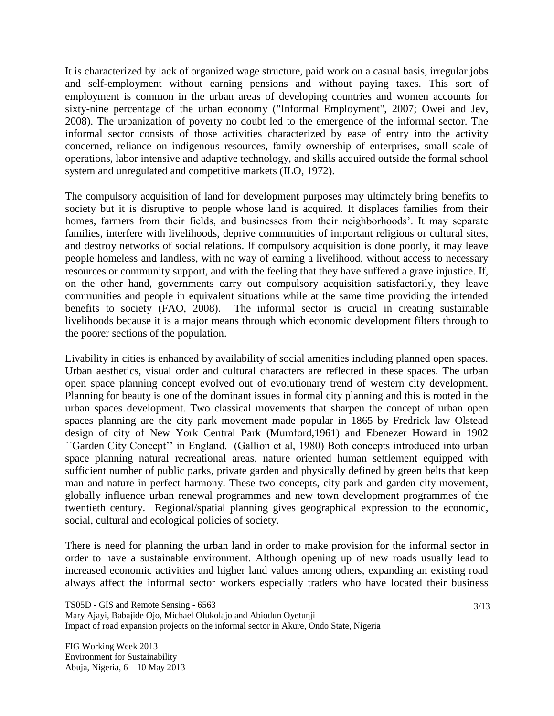It is characterized by lack of organized wage structure, paid work on a casual basis, irregular jobs and self-employment without earning pensions and without paying taxes. This sort of employment is common in the urban areas of developing countries and women accounts for sixty-nine percentage of the urban economy ("Informal Employment", 2007; Owei and Jev, 2008). The urbanization of poverty no doubt led to the emergence of the informal sector. The informal sector consists of those activities characterized by ease of entry into the activity concerned, reliance on indigenous resources, family ownership of enterprises, small scale of operations, labor intensive and adaptive technology, and skills acquired outside the formal school system and unregulated and competitive markets (ILO, 1972).

The compulsory acquisition of land for development purposes may ultimately bring benefits to society but it is disruptive to people whose land is acquired. It displaces families from their homes, farmers from their fields, and businesses from their neighborhoods'. It may separate families, interfere with livelihoods, deprive communities of important religious or cultural sites, and destroy networks of social relations. If compulsory acquisition is done poorly, it may leave people homeless and landless, with no way of earning a livelihood, without access to necessary resources or community support, and with the feeling that they have suffered a grave injustice. If, on the other hand, governments carry out compulsory acquisition satisfactorily, they leave communities and people in equivalent situations while at the same time providing the intended benefits to society (FAO, 2008). The informal sector is crucial in creating sustainable livelihoods because it is a major means through which economic development filters through to the poorer sections of the population.

Livability in cities is enhanced by availability of social amenities including planned open spaces. Urban aesthetics, visual order and cultural characters are reflected in these spaces. The urban open space planning concept evolved out of evolutionary trend of western city development. Planning for beauty is one of the dominant issues in formal city planning and this is rooted in the urban spaces development. Two classical movements that sharpen the concept of urban open spaces planning are the city park movement made popular in 1865 by Fredrick law Olstead design of city of New York Central Park (Mumford,1961) and Ebenezer Howard in 1902 ``Garden City Concept"" in England. (Gallion et al, 1980) Both concepts introduced into urban space planning natural recreational areas, nature oriented human settlement equipped with sufficient number of public parks, private garden and physically defined by green belts that keep man and nature in perfect harmony. These two concepts, city park and garden city movement, globally influence urban renewal programmes and new town development programmes of the twentieth century. Regional/spatial planning gives geographical expression to the economic, social, cultural and ecological policies of society.

There is need for planning the urban land in order to make provision for the informal sector in order to have a sustainable environment. Although opening up of new roads usually lead to increased economic activities and higher land values among others, expanding an existing road always affect the informal sector workers especially traders who have located their business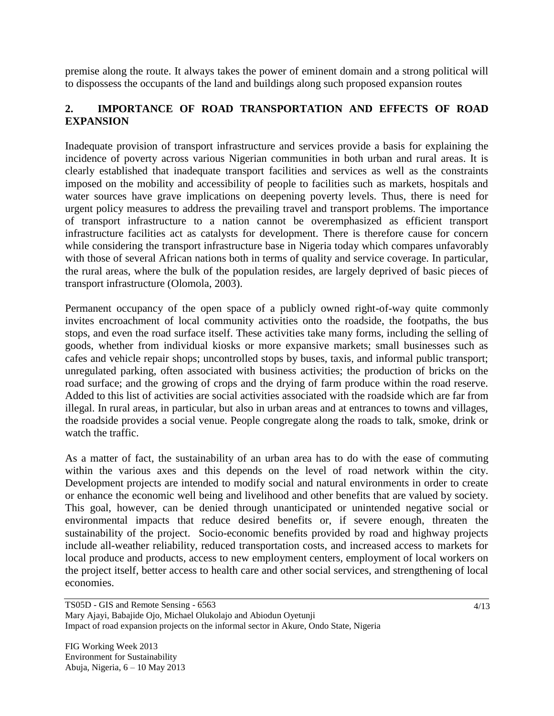premise along the route. It always takes the power of eminent domain and a strong political will to dispossess the occupants of the land and buildings along such proposed expansion routes

## **2. IMPORTANCE OF ROAD TRANSPORTATION AND EFFECTS OF ROAD EXPANSION**

Inadequate provision of transport infrastructure and services provide a basis for explaining the incidence of poverty across various Nigerian communities in both urban and rural areas. It is clearly established that inadequate transport facilities and services as well as the constraints imposed on the mobility and accessibility of people to facilities such as markets, hospitals and water sources have grave implications on deepening poverty levels. Thus, there is need for urgent policy measures to address the prevailing travel and transport problems. The importance of transport infrastructure to a nation cannot be overemphasized as efficient transport infrastructure facilities act as catalysts for development. There is therefore cause for concern while considering the transport infrastructure base in Nigeria today which compares unfavorably with those of several African nations both in terms of quality and service coverage. In particular, the rural areas, where the bulk of the population resides, are largely deprived of basic pieces of transport infrastructure (Olomola, 2003).

Permanent occupancy of the open space of a publicly owned right-of-way quite commonly invites encroachment of local community activities onto the roadside, the footpaths, the bus stops, and even the road surface itself. These activities take many forms, including the selling of goods, whether from individual kiosks or more expansive markets; small businesses such as cafes and vehicle repair shops; uncontrolled stops by buses, taxis, and informal public transport; unregulated parking, often associated with business activities; the production of bricks on the road surface; and the growing of crops and the drying of farm produce within the road reserve. Added to this list of activities are social activities associated with the roadside which are far from illegal. In rural areas, in particular, but also in urban areas and at entrances to towns and villages, the roadside provides a social venue. People congregate along the roads to talk, smoke, drink or watch the traffic.

As a matter of fact, the sustainability of an urban area has to do with the ease of commuting within the various axes and this depends on the level of road network within the city. Development projects are intended to modify social and natural environments in order to create or enhance the economic well being and livelihood and other benefits that are valued by society. This goal, however, can be denied through unanticipated or unintended negative social or environmental impacts that reduce desired benefits or, if severe enough, threaten the sustainability of the project. Socio-economic benefits provided by road and highway projects include all-weather reliability, reduced transportation costs, and increased access to markets for local produce and products, access to new employment centers, employment of local workers on the project itself, better access to health care and other social services, and strengthening of local economies.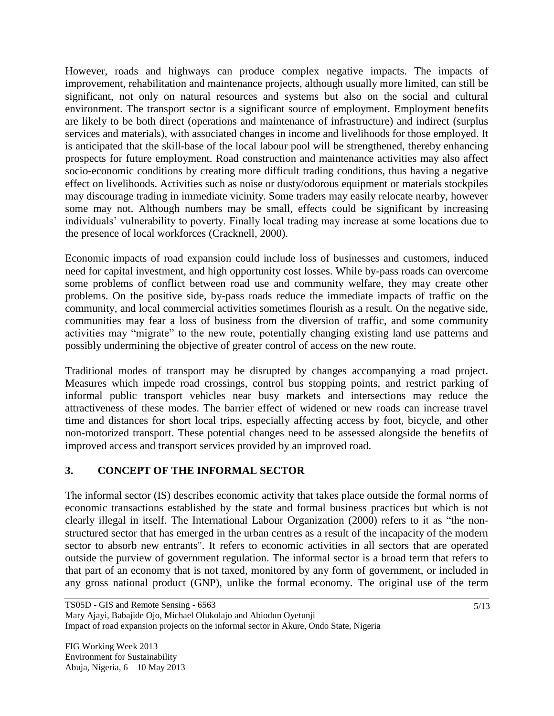However, roads and highways can produce complex negative impacts. The impacts of improvement, rehabilitation and maintenance projects, although usually more limited, can still be significant, not only on natural resources and systems but also on the social and cultural environment. The transport sector is a significant source of employment. Employment benefits are likely to be both direct (operations and maintenance of infrastructure) and indirect (surplus services and materials), with associated changes in income and livelihoods for those employed. It is anticipated that the skill-base of the local labour pool will be strengthened, thereby enhancing prospects for future employment. Road construction and maintenance activities may also affect socio-economic conditions by creating more difficult trading conditions, thus having a negative effect on livelihoods. Activities such as noise or dusty/odorous equipment or materials stockpiles may discourage trading in immediate vicinity. Some traders may easily relocate nearby, however some may not. Although numbers may be small, effects could be significant by increasing individuals" vulnerability to poverty. Finally local trading may increase at some locations due to the presence of local workforces (Cracknell, 2000).

Economic impacts of road expansion could include loss of businesses and customers, induced need for capital investment, and high opportunity cost losses. While by-pass roads can overcome some problems of conflict between road use and community welfare, they may create other problems. On the positive side, by-pass roads reduce the immediate impacts of traffic on the community, and local commercial activities sometimes flourish as a result. On the negative side, communities may fear a loss of business from the diversion of traffic, and some community activities may "migrate" to the new route, potentially changing existing land use patterns and possibly undermining the objective of greater control of access on the new route.

Traditional modes of transport may be disrupted by changes accompanying a road project. Measures which impede road crossings, control bus stopping points, and restrict parking of informal public transport vehicles near busy markets and intersections may reduce the attractiveness of these modes. The barrier effect of widened or new roads can increase travel time and distances for short local trips, especially affecting access by foot, bicycle, and other non-motorized transport. These potential changes need to be assessed alongside the benefits of improved access and transport services provided by an improved road.

## **3. CONCEPT OF THE INFORMAL SECTOR**

The informal sector (IS) describes economic activity that takes place outside the formal norms of economic transactions established by the state and formal business practices but which is not clearly illegal in itself. The International Labour Organization (2000) refers to it as "the nonstructured sector that has emerged in the urban centres as a result of the incapacity of the modern sector to absorb new entrants". It refers to economic activities in all sectors that are operated outside the purview of government regulation. The informal sector is a broad term that refers to that part of an economy that is not taxed, monitored by any form of government, or included in any gross national product (GNP), unlike the formal economy. The original use of the term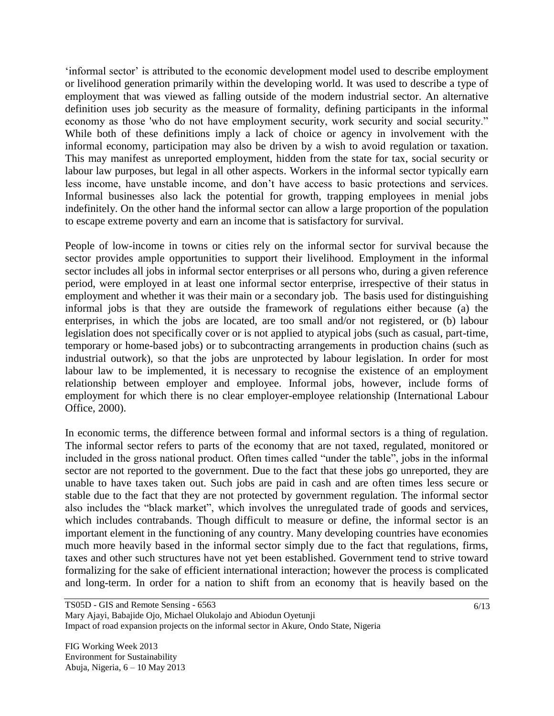"informal sector" is attributed to the economic development model used to describe employment or livelihood generation primarily within the [developing world.](http://en.wikipedia.org/wiki/Developing_world) It was used to describe a type of employment that was viewed as falling outside of the [modern industrial sector.](http://en.wikipedia.org/wiki/Industrial_sector) An alternative definition uses job security as the measure of formality, defining participants in the informal economy as those 'who do not have employment security, work security and social security." While both of these definitions imply a lack of choice or agency in involvement with the informal economy, participation may also be driven by a wish to avoid regulation or taxation. This may manifest as unreported employment, hidden from the state for tax, social security or labour law purposes, but legal in all other aspects. Workers in the informal sector typically earn less income, have unstable income, and don"t have access to basic protections and services. Informal businesses also lack the potential for growth, trapping employees in menial jobs indefinitely. On the other hand the informal sector can allow a large proportion of the population to escape extreme [poverty](http://en.wikipedia.org/wiki/Poverty) and earn an income that is satisfactory for survival.

People of low-income in towns or cities rely on the informal sector for survival because the sector provides ample opportunities to support their livelihood. Employment in the informal sector includes all jobs in informal sector enterprises or all persons who, during a given reference period, were employed in at least one informal sector enterprise, irrespective of their status in employment and whether it was their main or a secondary job. The basis used for distinguishing informal jobs is that they are outside the framework of regulations either because (a) the enterprises, in which the jobs are located, are too small and/or not registered, or (b) labour legislation does not specifically cover or is not applied to atypical jobs (such as casual, part-time, temporary or home-based jobs) or to subcontracting arrangements in production chains (such as industrial outwork), so that the jobs are unprotected by labour legislation. In order for most labour law to be implemented, it is necessary to recognise the existence of an employment relationship between employer and employee. Informal jobs, however, include forms of employment for which there is no clear employer-employee relationship (International Labour Office, 2000).

In economic terms, the difference between formal and informal sectors is a thing of regulation. The informal sector refers to parts of the economy that are not taxed, regulated, monitored or included in the gross national product. Often times called "under the table", jobs in the informal sector are not reported to the government. Due to the fact that these jobs go unreported, they are unable to have taxes taken out. Such jobs are paid in cash and are often times less secure or stable due to the fact that they are not protected by government regulation. The informal sector also includes the "black market", which involves the unregulated trade of goods and services, which includes contrabands. Though difficult to measure or define, the informal sector is an important element in the functioning of any country. Many developing countries have economies much more heavily based in the informal sector simply due to the fact that regulations, firms, taxes and other such structures have not yet been established. Government tend to strive toward formalizing for the sake of efficient international interaction; however the process is complicated and long-term. In order for a nation to shift from an economy that is heavily based on the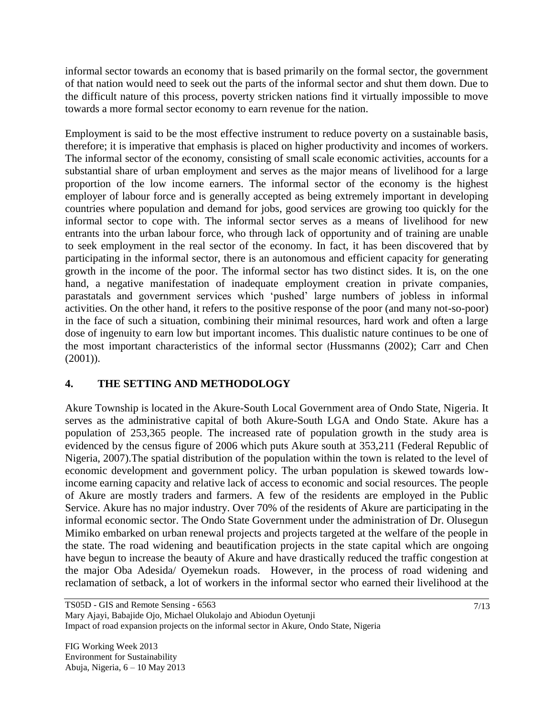informal sector towards an economy that is based primarily on the formal sector, the government of that nation would need to seek out the parts of the informal sector and shut them down. Due to the difficult nature of this process, poverty stricken nations find it virtually impossible to move towards a more formal sector economy to earn revenue for the nation.

Employment is said to be the most effective instrument to reduce poverty on a sustainable basis, therefore; it is imperative that emphasis is placed on higher productivity and incomes of workers. The informal sector of the economy, consisting of small scale economic activities, accounts for a substantial share of urban employment and serves as the major means of livelihood for a large proportion of the low income earners. The informal sector of the economy is the highest employer of labour force and is generally accepted as being extremely important in developing countries where population and demand for jobs, good services are growing too quickly for the informal sector to cope with. The informal sector serves as a means of livelihood for new entrants into the urban labour force, who through lack of opportunity and of training are unable to seek employment in the real sector of the economy. In fact, it has been discovered that by participating in the informal sector, there is an autonomous and efficient capacity for generating growth in the income of the poor. The informal sector has two distinct sides. It is, on the one hand, a negative manifestation of inadequate employment creation in private companies, parastatals and government services which "pushed" large numbers of jobless in informal activities. On the other hand, it refers to the positive response of the poor (and many not-so-poor) in the face of such a situation, combining their minimal resources, hard work and often a large dose of ingenuity to earn low but important incomes. This dualistic nature continues to be one of the most important characteristics of the informal sector (Hussmanns (2002); Carr and Chen (2001)).

## **4. THE SETTING AND METHODOLOGY**

Akure Township is located in the Akure-South Local Government area of Ondo State, Nigeria. It serves as the administrative capital of both Akure-South LGA and Ondo State. Akure has a population of 253,365 people. The increased rate of population growth in the study area is evidenced by the census figure of 2006 which puts Akure south at 353,211 (Federal Republic of Nigeria, 2007).The spatial distribution of the population within the town is related to the level of economic development and government policy. The urban population is skewed towards lowincome earning capacity and relative lack of access to economic and social resources. The people of Akure are mostly traders and farmers. A few of the residents are employed in the Public Service. Akure has no major industry. Over 70% of the residents of Akure are participating in the informal economic sector. The Ondo State Government under the administration of Dr. Olusegun Mimiko embarked on urban renewal projects and projects targeted at the welfare of the people in the state. The road widening and beautification projects in the state capital which are ongoing have begun to increase the beauty of Akure and have drastically reduced the traffic congestion at the major Oba Adesida/ Oyemekun roads. However, in the process of road widening and reclamation of setback, a lot of workers in the informal sector who earned their livelihood at the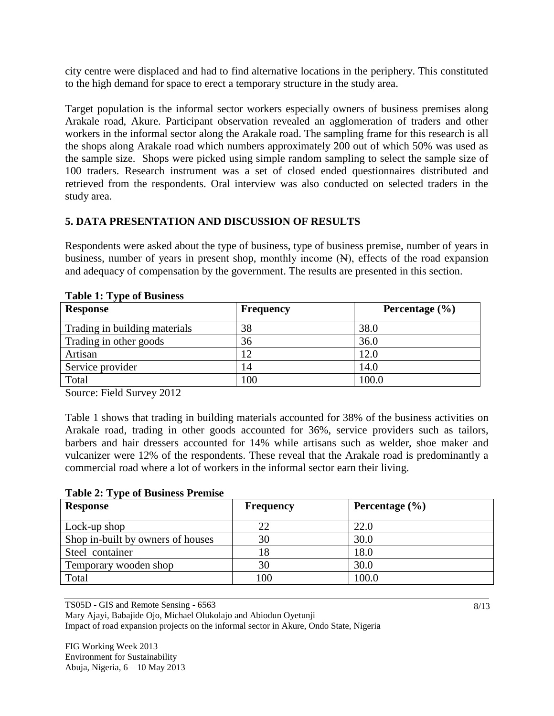city centre were displaced and had to find alternative locations in the periphery. This constituted to the high demand for space to erect a temporary structure in the study area.

Target population is the informal sector workers especially owners of business premises along Arakale road, Akure. Participant observation revealed an agglomeration of traders and other workers in the informal sector along the Arakale road. The sampling frame for this research is all the shops along Arakale road which numbers approximately 200 out of which 50% was used as the sample size. Shops were picked using simple random sampling to select the sample size of 100 traders. Research instrument was a set of closed ended questionnaires distributed and retrieved from the respondents. Oral interview was also conducted on selected traders in the study area.

## **5. DATA PRESENTATION AND DISCUSSION OF RESULTS**

Respondents were asked about the type of business, type of business premise, number of years in business, number of years in present shop, monthly income  $(\mathbb{H})$ , effects of the road expansion and adequacy of compensation by the government. The results are presented in this section.

| 140101111111000111000111000<br><b>Response</b> | <b>Frequency</b> | Percentage $(\% )$ |
|------------------------------------------------|------------------|--------------------|
| Trading in building materials                  | 38               | 38.0               |
| Trading in other goods                         | 36               | 36.0               |
| Artisan                                        | 12               | 12.0               |
| Service provider                               | 14               | 14.0               |
| Total                                          | 100              | 100.0              |

#### **Table 1: Type of Business**

Source: Field Survey 2012

Table 1 shows that trading in building materials accounted for 38% of the business activities on Arakale road, trading in other goods accounted for 36%, service providers such as tailors, barbers and hair dressers accounted for 14% while artisans such as welder, shoe maker and vulcanizer were 12% of the respondents. These reveal that the Arakale road is predominantly a commercial road where a lot of workers in the informal sector earn their living.

#### **Table 2: Type of Business Premise**

| <b>Response</b>                   | <b>Frequency</b> | Percentage $(\% )$ |
|-----------------------------------|------------------|--------------------|
| Lock-up shop                      | 22               | 22.0               |
| Shop in-built by owners of houses | 30               | 30.0               |
| Steel container                   | 18               | 18.0               |
| Temporary wooden shop             | 30               | 30.0               |
| Total                             | 100              | 100.0              |

TS05D - GIS and Remote Sensing - 6563

Mary Ajayi, Babajide Ojo, Michael Olukolajo and Abiodun Oyetunji

Impact of road expansion projects on the informal sector in Akure, Ondo State, Nigeria

FIG Working Week 2013 Environment for Sustainability Abuja, Nigeria, 6 – 10 May 2013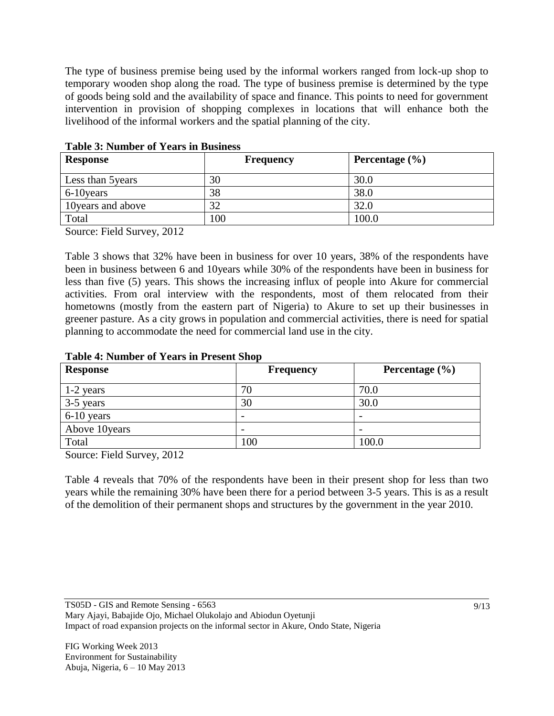The type of business premise being used by the informal workers ranged from lock-up shop to temporary wooden shop along the road. The type of business premise is determined by the type of goods being sold and the availability of space and finance. This points to need for government intervention in provision of shopping complexes in locations that will enhance both the livelihood of the informal workers and the spatial planning of the city.

| <b>Response</b>    | <b>Frequency</b> | Percentage $(\% )$ |
|--------------------|------------------|--------------------|
| Less than 5 years  | 30               | 30.0               |
| 6-10 years         | 38               | 38.0               |
| 10 years and above | 32               | 32.0               |
| Total              | 100              | 100.0              |

**Table 3: Number of Years in Business**

Source: Field Survey, 2012

Table 3 shows that 32% have been in business for over 10 years, 38% of the respondents have been in business between 6 and 10years while 30% of the respondents have been in business for less than five (5) years. This shows the increasing influx of people into Akure for commercial activities. From oral interview with the respondents, most of them relocated from their hometowns (mostly from the eastern part of Nigeria) to Akure to set up their businesses in greener pasture. As a city grows in population and commercial activities, there is need for spatial planning to accommodate the need for commercial land use in the city.

| <b>Response</b> | <b>Frequency</b>         | Percentage $(\% )$       |
|-----------------|--------------------------|--------------------------|
| 1-2 years       | 70                       | 70.0                     |
| 3-5 years       | 30                       | 30.0                     |
| 6-10 years      | $\overline{\phantom{0}}$ | $\overline{\phantom{0}}$ |
| Above 10years   | $\overline{\phantom{a}}$ | $\overline{\phantom{0}}$ |
| Total           | 00 <sub>1</sub>          | 100.0                    |

Source: Field Survey, 2012

Table 4 reveals that 70% of the respondents have been in their present shop for less than two years while the remaining 30% have been there for a period between 3-5 years. This is as a result of the demolition of their permanent shops and structures by the government in the year 2010.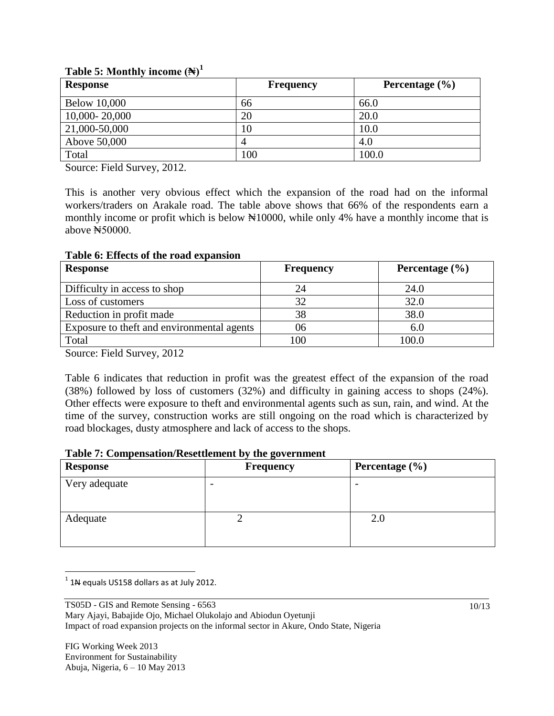| <b>Response</b>     | <b>Frequency</b> | Percentage $(\% )$ |
|---------------------|------------------|--------------------|
| <b>Below 10,000</b> | 66               | 66.0               |
| 10,000-20,000       | 20               | 20.0               |
| 21,000-50,000       | 10               | 10.0               |
| Above 50,000        |                  | 4.0                |
| Total               | 100              | 100.0              |

#### **Table 5: Monthly income**  $(\mathbb{N})^1$

Source: Field Survey, 2012.

This is another very obvious effect which the expansion of the road had on the informal workers/traders on Arakale road. The table above shows that 66% of the respondents earn a monthly income or profit which is below  $\frac{10000}{10000}$ , while only 4% have a monthly income that is above ₦50000.

**Table 6: Effects of the road expansion**

| <b>Response</b>                            | <b>Frequency</b> | Percentage $(\% )$ |
|--------------------------------------------|------------------|--------------------|
| Difficulty in access to shop               | 24               | 24.0               |
| Loss of customers                          |                  | 32.0               |
| Reduction in profit made                   | 38               | 38.0               |
| Exposure to theft and environmental agents | 06               | 6.0                |
| Total                                      | 100              | 100.0              |

Source: Field Survey, 2012

Table 6 indicates that reduction in profit was the greatest effect of the expansion of the road (38%) followed by loss of customers (32%) and difficulty in gaining access to shops (24%). Other effects were exposure to theft and environmental agents such as sun, rain, and wind. At the time of the survey, construction works are still ongoing on the road which is characterized by road blockages, dusty atmosphere and lack of access to the shops.

|  | Table 7: Compensation/Resettlement by the government |  |
|--|------------------------------------------------------|--|
|--|------------------------------------------------------|--|

| <b>Response</b> | $\bullet$<br>Frequency | Percentage (%) |
|-----------------|------------------------|----------------|
| Very adequate   |                        |                |
| Adequate        |                        | $2.0\,$        |

 $\overline{a}$  $^1$  1N equals US158 dollars as at July 2012.

TS05D - GIS and Remote Sensing - 6563 Mary Ajayi, Babajide Ojo, Michael Olukolajo and Abiodun Oyetunji Impact of road expansion projects on the informal sector in Akure, Ondo State, Nigeria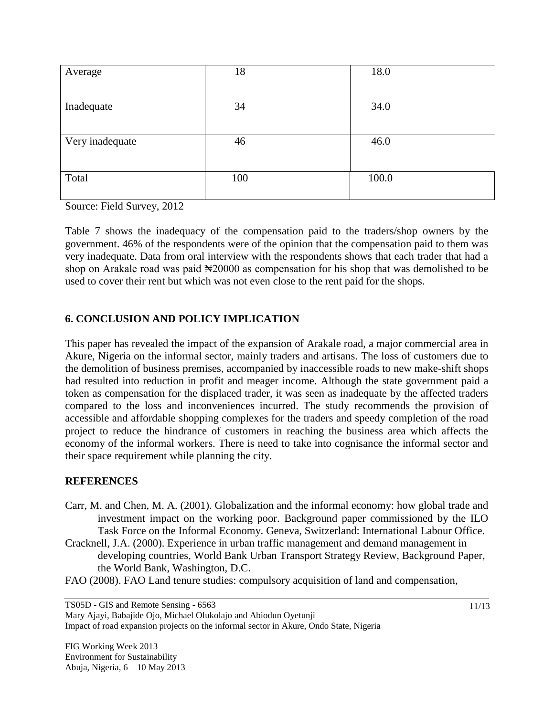| Average         | 18  | 18.0  |
|-----------------|-----|-------|
|                 |     |       |
| Inadequate      | 34  | 34.0  |
|                 |     |       |
| Very inadequate | 46  | 46.0  |
|                 |     |       |
| Total           | 100 | 100.0 |
|                 |     |       |

Source: Field Survey, 2012

Table 7 shows the inadequacy of the compensation paid to the traders/shop owners by the government. 46% of the respondents were of the opinion that the compensation paid to them was very inadequate. Data from oral interview with the respondents shows that each trader that had a shop on Arakale road was paid  $\frac{120000}{3}$  as compensation for his shop that was demolished to be used to cover their rent but which was not even close to the rent paid for the shops.

## **6. CONCLUSION AND POLICY IMPLICATION**

This paper has revealed the impact of the expansion of Arakale road, a major commercial area in Akure, Nigeria on the informal sector, mainly traders and artisans. The loss of customers due to the demolition of business premises, accompanied by inaccessible roads to new make-shift shops had resulted into reduction in profit and meager income. Although the state government paid a token as compensation for the displaced trader, it was seen as inadequate by the affected traders compared to the loss and inconveniences incurred. The study recommends the provision of accessible and affordable shopping complexes for the traders and speedy completion of the road project to reduce the hindrance of customers in reaching the business area which affects the economy of the informal workers. There is need to take into cognisance the informal sector and their space requirement while planning the city.

### **REFERENCES**

- Carr, M. and Chen, M. A. (2001). Globalization and the informal economy: how global trade and investment impact on the working poor. Background paper commissioned by the ILO Task Force on the Informal Economy. Geneva, Switzerland: International Labour Office.
- Cracknell, J.A. (2000). Experience in urban traffic management and demand management in developing countries, World Bank Urban Transport Strategy Review, Background Paper, the World Bank, Washington, D.C.
- FAO (2008). FAO Land tenure studies: compulsory acquisition of land and compensation,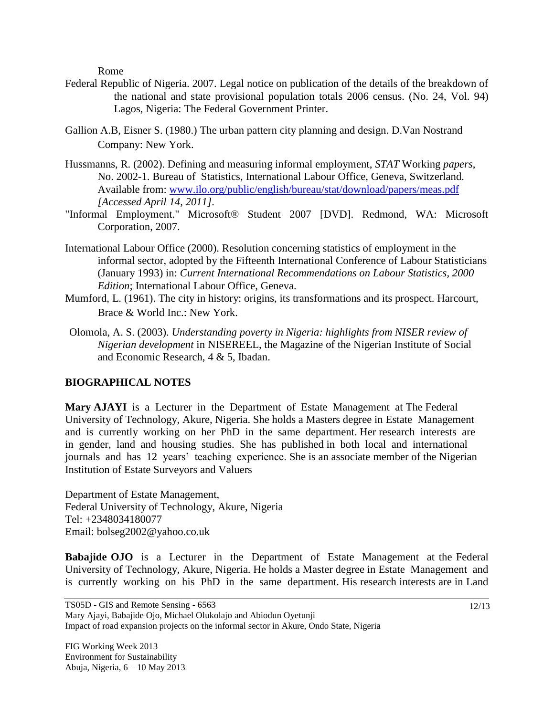Rome

- Federal Republic of Nigeria. 2007. Legal notice on publication of the details of the breakdown of the national and state provisional population totals 2006 census. (No. 24, Vol. 94) Lagos, Nigeria: The Federal Government Printer.
- Gallion A.B, Eisner S. (1980.) The urban pattern city planning and design. D.Van Nostrand Company: New York.
- Hussmanns, R. (2002). Defining and measuring informal employment, *STAT* Working *papers*, No. 2002-1. Bureau of Statistics, International Labour Office, Geneva, Switzerland. Available from: [www.ilo.org/public/english/bureau/stat/download/papers/meas.pdf](http://www.ilo.org/public/english/bureau/stat/download/papers/meas.pdf) *[Accessed April 14, 2011].*
- "Informal Employment." Microsoft® Student 2007 [DVD]. Redmond, WA: Microsoft Corporation, 2007.
- International Labour Office (2000). Resolution concerning statistics of employment in the informal sector, adopted by the Fifteenth International Conference of Labour Statisticians (January 1993) in: *Current International Recommendations on Labour Statistics, 2000 Edition*; International Labour Office, Geneva.
- Mumford, L. (1961). The city in history: origins, its transformations and its prospect. Harcourt, Brace & World Inc.: New York.
- Olomola, A. S. (2003). *Understanding poverty in Nigeria: highlights from NISER review of Nigerian development* in NISEREEL, the Magazine of the Nigerian Institute of Social and Economic Research, 4 & 5, Ibadan.

### **BIOGRAPHICAL NOTES**

**Mary AJAYI** is a Lecturer in the Department of Estate Management at The Federal University of Technology, Akure, Nigeria. She holds a Masters degree in Estate Management and is currently working on her PhD in the same department. Her research interests are in gender, land and housing studies. She has published in both local and international journals and has 12 years' teaching experience. She is an associate member of the Nigerian Institution of Estate Surveyors and Valuers

Department of Estate Management, Federal University of Technology, Akure, Nigeria Tel: +2348034180077 Email: bolseg2002@yahoo.co.uk

**Babajide OJO** is a Lecturer in the Department of Estate Management at the Federal University of Technology, Akure, Nigeria. He holds a Master degree in Estate Management and is currently working on his PhD in the same department. His research interests are in Land